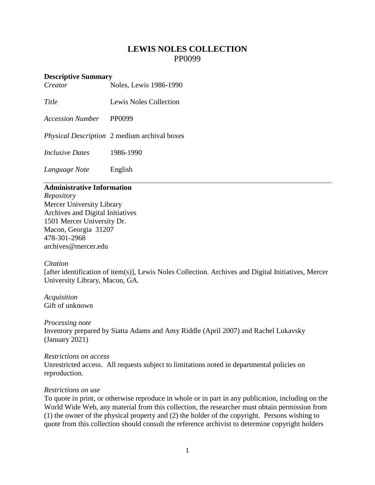# **LEWIS NOLES COLLECTION** PP0099

## **Descriptive Summary**

*Creator* Noles, Lewis 1986-1990

*Title* Lewis Noles Collection

*Accession Number* PP0099

*Physical Description* 2 medium archival boxes

*Inclusive Dates* 1986-1990

*Language Note* English

# **Administrative Information**

*Repository* Mercer University Library Archives and Digital Initiatives 1501 Mercer University Dr. Macon, Georgia 31207 478-301-2968 [archives@mercer.edu](mailto:archives@mercer.edu)

## *Citation*

[after identification of item(s)], Lewis Noles Collection. Archives and Digital Initiatives, Mercer University Library, Macon, GA.

*Acquisition* Gift of unknown

*Processing note* Inventory prepared by Siatta Adams and Amy Riddle (April 2007) and Rachel Lukavsky (January 2021)

## *Restrictions on access*

Unrestricted access. All requests subject to limitations noted in departmental policies on reproduction.

## *Restrictions on use*

To quote in print, or otherwise reproduce in whole or in part in any publication, including on the World Wide Web, any material from this collection, the researcher must obtain permission from (1) the owner of the physical property and (2) the holder of the copyright. Persons wishing to quote from this collection should consult the reference archivist to determine copyright holders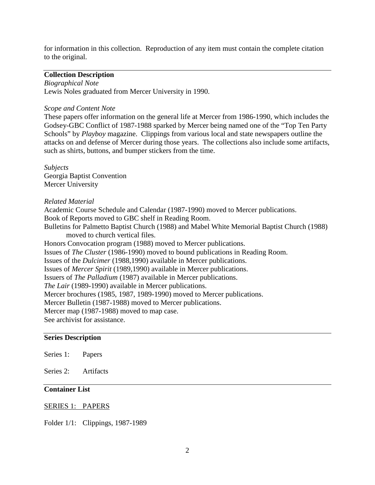for information in this collection. Reproduction of any item must contain the complete citation to the original.

### **Collection Description**

*Biographical Note* Lewis Noles graduated from Mercer University in 1990.

#### *Scope and Content Note*

These papers offer information on the general life at Mercer from 1986-1990, which includes the Godsey-GBC Conflict of 1987-1988 sparked by Mercer being named one of the "Top Ten Party Schools" by *Playboy* magazine. Clippings from various local and state newspapers outline the attacks on and defense of Mercer during those years. The collections also include some artifacts, such as shirts, buttons, and bumper stickers from the time.

*Subjects* Georgia Baptist Convention Mercer University

#### *Related Material*

Academic Course Schedule and Calendar (1987-1990) moved to Mercer publications. Book of Reports moved to GBC shelf in Reading Room.

Bulletins for Palmetto Baptist Church (1988) and Mabel White Memorial Baptist Church (1988) moved to church vertical files.

Honors Convocation program (1988) moved to Mercer publications.

Issues of *The Cluster* (1986-1990) moved to bound publications in Reading Room.

Issues of the *Dulcimer* (1988,1990) available in Mercer publications.

Issues of *Mercer Spirit* (1989,1990) available in Mercer publications.

Issuers of *The Palladium* (1987) available in Mercer publications.

*The Lair* (1989-1990) available in Mercer publications.

Mercer brochures (1985, 1987, 1989-1990) moved to Mercer publications.

Mercer Bulletin (1987-1988) moved to Mercer publications.

Mercer map (1987-1988) moved to map case.

See archivist for assistance.

## **Series Description**

Series 1: Papers

Series 2: Artifacts

# **Container List**

## SERIES 1: PAPERS

Folder 1/1: Clippings, 1987-1989